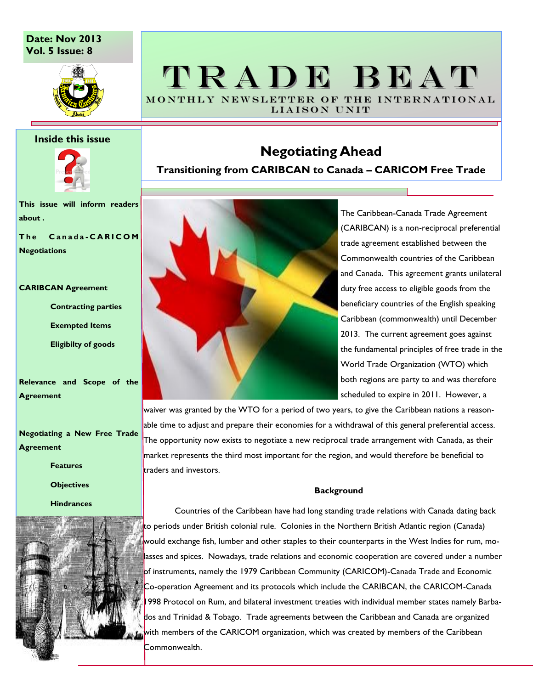## **Date: Nov 2013 Vol. 5 Issue: 8**



## TRADE BEAT MONTHLY NEWSLETTER OF THE INTERNATIONAL

LIAISON UNIT

### **Inside this issue**



**This issue will inform readers about .**

**T h e C a n a d a - C A R I C O M Negotiations**

#### **CARIBCAN Agreement**

**Contracting parties**

**Exempted Items**

**Eligibilty of goods**

**Relevance and Scope of the Agreement**

**Negotiating a New Free Trade Agreement**

**Features**

**Objectives** 

**Hindrances**



# **Negotiating Ahead**

**Transitioning from CARIBCAN to Canada – CARICOM Free Trade**



The Caribbean-Canada Trade Agreement (CARIBCAN) is a non-reciprocal preferential trade agreement established between the Commonwealth countries of the Caribbean and Canada. This agreement grants unilateral duty free access to eligible goods from the beneficiary countries of the English speaking Caribbean (commonwealth) until December 2013. The current agreement goes against the fundamental principles of free trade in the World Trade Organization (WTO) which both regions are party to and was therefore scheduled to expire in 2011. However, a

waiver was granted by the WTO for a period of two years, to give the Caribbean nations a reasonable time to adjust and prepare their economies for a withdrawal of this general preferential access. The opportunity now exists to negotiate a new reciprocal trade arrangement with Canada, as their market represents the third most important for the region, and would therefore be beneficial to traders and investors.

### **Background**

Countries of the Caribbean have had long standing trade relations with Canada dating back to periods under British colonial rule. Colonies in the Northern British Atlantic region (Canada) would exchange fish, lumber and other staples to their counterparts in the West Indies for rum, molasses and spices. Nowadays, trade relations and economic cooperation are covered under a number of instruments, namely the 1979 Caribbean Community (CARICOM)-Canada Trade and Economic Co-operation Agreement and its protocols which include the CARIBCAN, the CARICOM-Canada 1998 Protocol on Rum, and bilateral investment treaties with individual member states namely Barbados and Trinidad & Tobago. Trade agreements between the Caribbean and Canada are organized with members of the CARICOM organization, which was created by members of the Caribbean Commonwealth.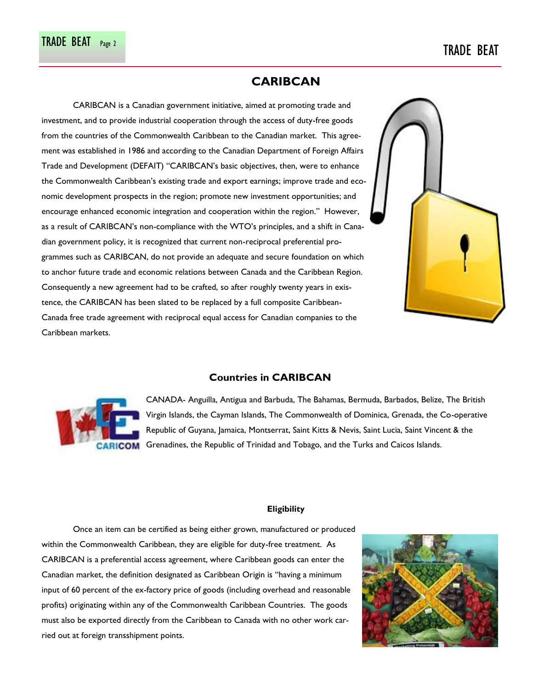## **CARIBCAN**

CARIBCAN is a Canadian government initiative, aimed at promoting trade and investment, and to provide industrial cooperation through the access of duty-free goods from the countries of the Commonwealth Caribbean to the Canadian market. This agreement was established in 1986 and according to the Canadian Department of Foreign Affairs Trade and Development (DEFAIT) "CARIBCAN"s basic objectives, then, were to enhance the Commonwealth Caribbean"s existing trade and export earnings; improve trade and economic development prospects in the region; promote new investment opportunities; and encourage enhanced economic integration and cooperation within the region." However, as a result of CARIBCAN's non-compliance with the WTO's principles, and a shift in Canadian government policy, it is recognized that current non-reciprocal preferential programmes such as CARIBCAN, do not provide an adequate and secure foundation on which to anchor future trade and economic relations between Canada and the Caribbean Region. Consequently a new agreement had to be crafted, so after roughly twenty years in existence, the CARIBCAN has been slated to be replaced by a full composite Caribbean-Canada free trade agreement with reciprocal equal access for Canadian companies to the Caribbean markets.





**Countries in CARIBCAN**

CANADA- Anguilla, Antigua and Barbuda, The Bahamas, Bermuda, Barbados, Belize, The British Virgin Islands, the Cayman Islands, The Commonwealth of Dominica, Grenada, the Co-operative Republic of Guyana, Jamaica, Montserrat, Saint Kitts & Nevis, Saint Lucia, Saint Vincent & the **CARICOM** Grenadines, the Republic of Trinidad and Tobago, and the Turks and Caicos Islands.

## **Eligibility**

Once an item can be certified as being either grown, manufactured or produced within the Commonwealth Caribbean, they are eligible for duty-free treatment. As CARIBCAN is a preferential access agreement, where Caribbean goods can enter the Canadian market, the definition designated as Caribbean Origin is "having a minimum input of 60 percent of the ex-factory price of goods (including overhead and reasonable profits) originating within any of the Commonwealth Caribbean Countries. The goods must also be exported directly from the Caribbean to Canada with no other work carried out at foreign transshipment points.

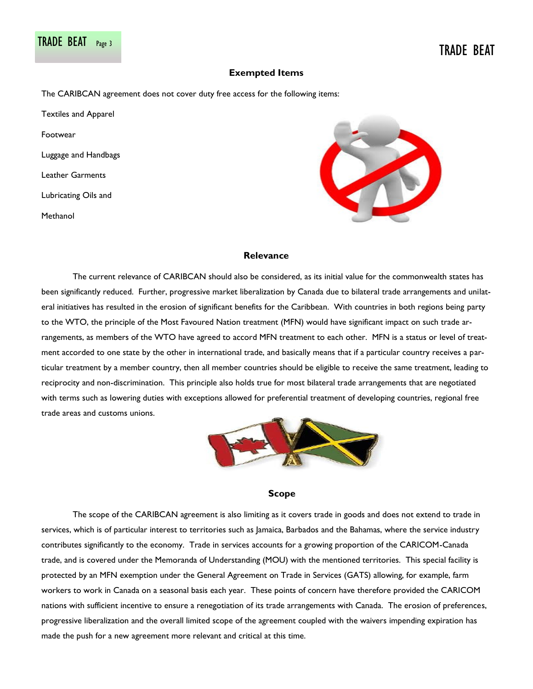## **Exempted Items**

The CARIBCAN agreement does not cover duty free access for the following items:

Textiles and Apparel Footwear Luggage and Handbags Leather Garments Lubricating Oils and Methanol



## **Relevance**

The current relevance of CARIBCAN should also be considered, as its initial value for the commonwealth states has been significantly reduced. Further, progressive market liberalization by Canada due to bilateral trade arrangements and unilateral initiatives has resulted in the erosion of significant benefits for the Caribbean. With countries in both regions being party to the WTO, the principle of the Most Favoured Nation treatment (MFN) would have significant impact on such trade arrangements, as members of the WTO have agreed to accord MFN treatment to each other. MFN is a status or level of treatment accorded to one state by the other in international trade, and basically means that if a particular country receives a particular treatment by a member country, then all member countries should be eligible to receive the same treatment, leading to reciprocity and non-discrimination. This principle also holds true for most bilateral trade arrangements that are negotiated with terms such as lowering duties with exceptions allowed for preferential treatment of developing countries, regional free trade areas and customs unions.



## **Scope**

The scope of the CARIBCAN agreement is also limiting as it covers trade in goods and does not extend to trade in services, which is of particular interest to territories such as Jamaica, Barbados and the Bahamas, where the service industry contributes significantly to the economy. Trade in services accounts for a growing proportion of the CARICOM-Canada trade, and is covered under the Memoranda of Understanding (MOU) with the mentioned territories. This special facility is protected by an MFN exemption under the General Agreement on Trade in Services (GATS) allowing, for example, farm workers to work in Canada on a seasonal basis each year. These points of concern have therefore provided the CARICOM nations with sufficient incentive to ensure a renegotiation of its trade arrangements with Canada. The erosion of preferences, progressive liberalization and the overall limited scope of the agreement coupled with the waivers impending expiration has made the push for a new agreement more relevant and critical at this time.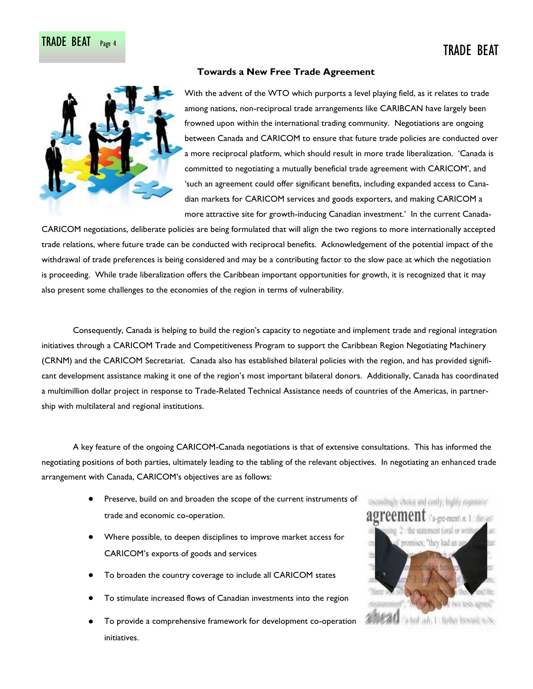

## **Towards a New Free Trade Agreement**

With the advent of the WTO which purports a level playing field, as it relates to trade among nations, non-reciprocal trade arrangements like CARIBCAN have largely been frowned upon within the international trading community. Negotiations are ongoing between Canada and CARICOM to ensure that future trade policies are conducted over a more reciprocal platform, which should result in more trade liberalization. "Canada is committed to negotiating a mutually beneficial trade agreement with CARICOM", and "such an agreement could offer significant benefits, including expanded access to Canadian markets for CARICOM services and goods exporters, and making CARICOM a more attractive site for growth-inducing Canadian investment.' In the current Canada-

CARICOM negotiations, deliberate policies are being formulated that will align the two regions to more internationally accepted trade relations, where future trade can be conducted with reciprocal benefits. Acknowledgement of the potential impact of the withdrawal of trade preferences is being considered and may be a contributing factor to the slow pace at which the negotiation is proceeding. While trade liberalization offers the Caribbean important opportunities for growth, it is recognized that it may also present some challenges to the economies of the region in terms of vulnerability.

Consequently, Canada is helping to build the region"s capacity to negotiate and implement trade and regional integration initiatives through a CARICOM Trade and Competitiveness Program to support the Caribbean Region Negotiating Machinery (CRNM) and the CARICOM Secretariat. Canada also has established bilateral policies with the region, and has provided significant development assistance making it one of the region"s most important bilateral donors. Additionally, Canada has coordinated a multimillion dollar project in response to Trade-Related Technical Assistance needs of countries of the Americas, in partnership with multilateral and regional institutions.

A key feature of the ongoing CARICOM-Canada negotiations is that of extensive consultations. This has informed the negotiating positions of both parties, ultimately leading to the tabling of the relevant objectives. In negotiating an enhanced trade arrangement with Canada, CARICOM"s objectives are as follows:

- Preserve, build on and broaden the scope of the current instruments of trade and economic co-operation.
- Where possible, to deepen disciplines to improve market access for CARICOM"s exports of goods and services
- To broaden the country coverage to include all CARICOM states
- To stimulate increased flows of Canadian investments into the region
- To provide a comprehensive framework for development co-operation initiatives.

procedingly choice and confly; highly exposence  $\forall$ a-gre-ment $\forall$ n, 1 the statement (oral or went reomises; "they had an which adv, 1 1 further because ou/oc-